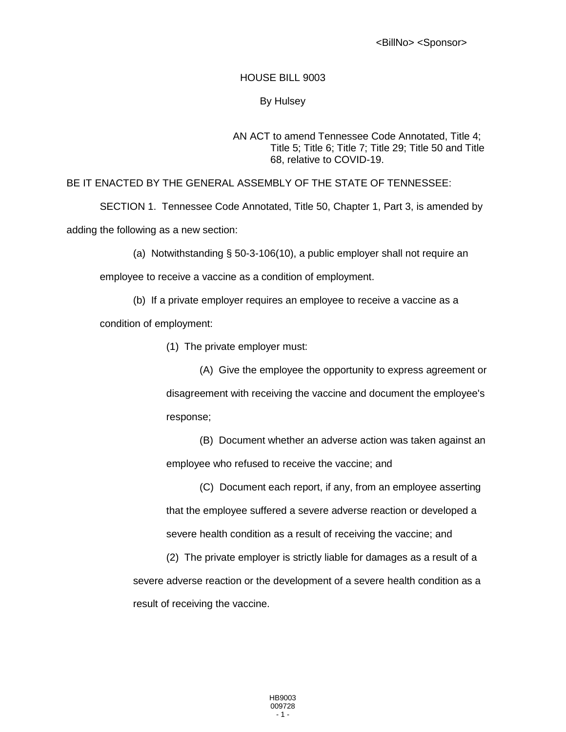<BillNo> <Sponsor>

## HOUSE BILL 9003

## By Hulsey

## AN ACT to amend Tennessee Code Annotated, Title 4; Title 5; Title 6; Title 7; Title 29; Title 50 and Title 68, relative to COVID-19.

BE IT ENACTED BY THE GENERAL ASSEMBLY OF THE STATE OF TENNESSEE:

SECTION 1. Tennessee Code Annotated, Title 50, Chapter 1, Part 3, is amended by

adding the following as a new section:

(a) Notwithstanding § 50-3-106(10), a public employer shall not require an

employee to receive a vaccine as a condition of employment.

(b) If a private employer requires an employee to receive a vaccine as a

condition of employment:

(1) The private employer must:

(A) Give the employee the opportunity to express agreement or disagreement with receiving the vaccine and document the employee's response;

(B) Document whether an adverse action was taken against an employee who refused to receive the vaccine; and

(C) Document each report, if any, from an employee asserting that the employee suffered a severe adverse reaction or developed a severe health condition as a result of receiving the vaccine; and

(2) The private employer is strictly liable for damages as a result of a severe adverse reaction or the development of a severe health condition as a result of receiving the vaccine.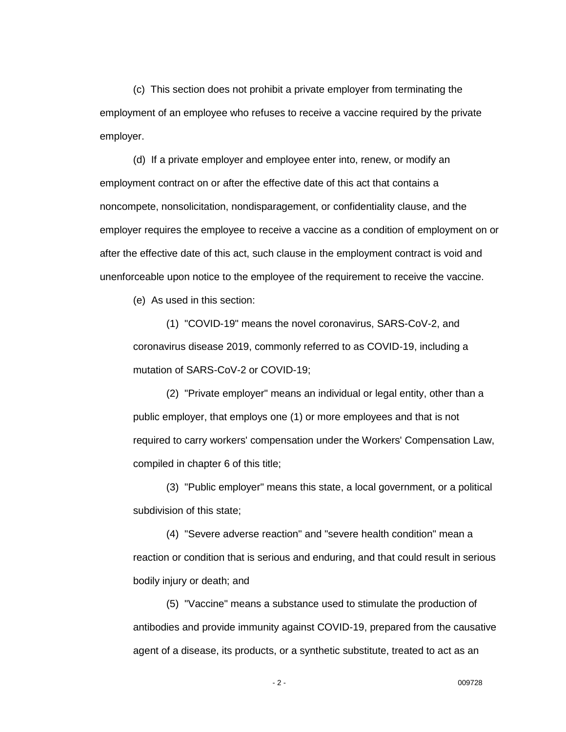(c) This section does not prohibit a private employer from terminating the employment of an employee who refuses to receive a vaccine required by the private employer.

(d) If a private employer and employee enter into, renew, or modify an employment contract on or after the effective date of this act that contains a noncompete, nonsolicitation, nondisparagement, or confidentiality clause, and the employer requires the employee to receive a vaccine as a condition of employment on or after the effective date of this act, such clause in the employment contract is void and unenforceable upon notice to the employee of the requirement to receive the vaccine.

(e) As used in this section:

(1) "COVID-19" means the novel coronavirus, SARS-CoV-2, and coronavirus disease 2019, commonly referred to as COVID-19, including a mutation of SARS-CoV-2 or COVID-19;

(2) "Private employer" means an individual or legal entity, other than a public employer, that employs one (1) or more employees and that is not required to carry workers' compensation under the Workers' Compensation Law, compiled in chapter 6 of this title;

(3) "Public employer" means this state, a local government, or a political subdivision of this state;

(4) "Severe adverse reaction" and "severe health condition" mean a reaction or condition that is serious and enduring, and that could result in serious bodily injury or death; and

(5) "Vaccine" means a substance used to stimulate the production of antibodies and provide immunity against COVID-19, prepared from the causative agent of a disease, its products, or a synthetic substitute, treated to act as an

- 2 - 009728